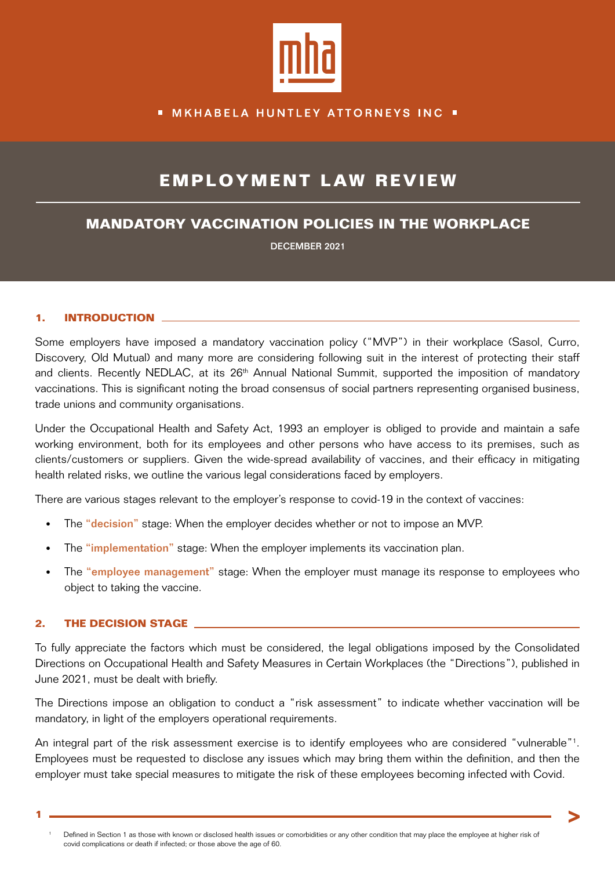

## **MKHABELA HUNTLEY ATTORNEYS INC .**

# **EMPLOYMENT LAW REVIEW**

## **MANDATORY VACCINATION POLICIES IN THE WORKPLACE**

DECEMBER 2021

#### **1. INTRODUCTION**

Some employers have imposed a mandatory vaccination policy ("MVP") in their workplace (Sasol, Curro, Discovery, Old Mutual) and many more are considering following suit in the interest of protecting their staff and clients. Recently NEDLAC, at its 26<sup>th</sup> Annual National Summit, supported the imposition of mandatory vaccinations. This is significant noting the broad consensus of social partners representing organised business, trade unions and community organisations.

Under the Occupational Health and Safety Act, 1993 an employer is obliged to provide and maintain a safe working environment, both for its employees and other persons who have access to its premises, such as clients/customers or suppliers. Given the wide-spread availability of vaccines, and their efficacy in mitigating health related risks, we outline the various legal considerations faced by employers.

There are various stages relevant to the employer's response to covid-19 in the context of vaccines:

- The "decision" stage: When the employer decides whether or not to impose an MVP.
- The "implementation" stage: When the employer implements its vaccination plan.
- The "employee management" stage: When the employer must manage its response to employees who object to taking the vaccine.

#### **2. THE DECISION STAGE**

To fully appreciate the factors which must be considered, the legal obligations imposed by the Consolidated Directions on Occupational Health and Safety Measures in Certain Workplaces (the "Directions"), published in June 2021, must be dealt with briefly.

The Directions impose an obligation to conduct a "risk assessment" to indicate whether vaccination will be mandatory, in light of the employers operational requirements.

An integral part of the risk assessment exercise is to identify employees who are considered "vulnerable"<sup>1</sup>. Employees must be requested to disclose any issues which may bring them within the definition, and then the employer must take special measures to mitigate the risk of these employees becoming infected with Covid.

**1**

Defined in Section 1 as those with known or disclosed health issues or comorbidities or any other condition that may place the employee at higher risk of covid complications or death if infected; or those above the age of 60.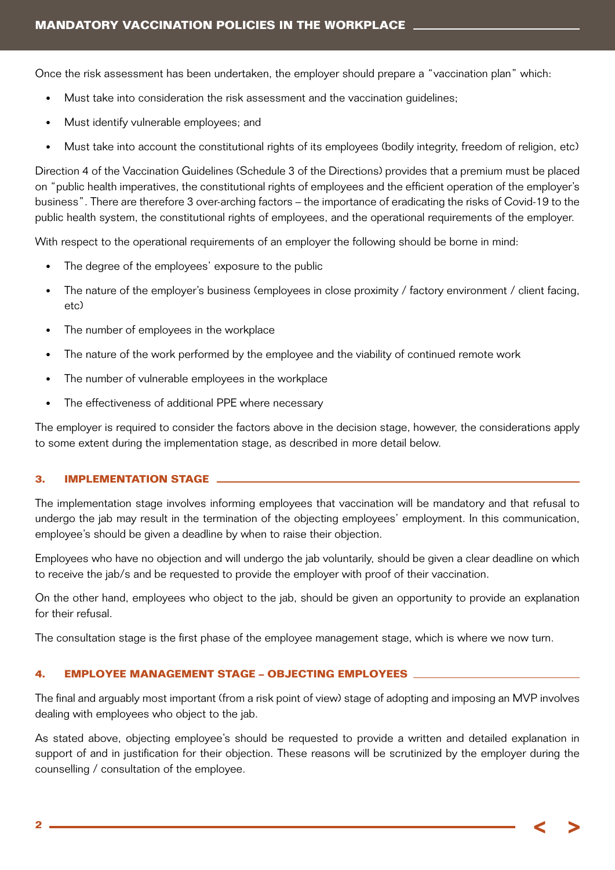Once the risk assessment has been undertaken, the employer should prepare a "vaccination plan" which:

- Must take into consideration the risk assessment and the vaccination guidelines;
- Must identify vulnerable employees; and
- Must take into account the constitutional rights of its employees (bodily integrity, freedom of religion, etc)

Direction 4 of the Vaccination Guidelines (Schedule 3 of the Directions) provides that a premium must be placed on "public health imperatives, the constitutional rights of employees and the efficient operation of the employer's business". There are therefore 3 over-arching factors – the importance of eradicating the risks of Covid-19 to the public health system, the constitutional rights of employees, and the operational requirements of the employer.

With respect to the operational requirements of an employer the following should be borne in mind:

- The degree of the employees' exposure to the public
- The nature of the employer's business (employees in close proximity / factory environment / client facing, etc)
- The number of employees in the workplace
- The nature of the work performed by the employee and the viability of continued remote work
- The number of vulnerable employees in the workplace
- The effectiveness of additional PPE where necessary

The employer is required to consider the factors above in the decision stage, however, the considerations apply to some extent during the implementation stage, as described in more detail below.

#### **3. IMPLEMENTATION STAGE**

The implementation stage involves informing employees that vaccination will be mandatory and that refusal to undergo the jab may result in the termination of the objecting employees' employment. In this communication, employee's should be given a deadline by when to raise their objection.

Employees who have no objection and will undergo the jab voluntarily, should be given a clear deadline on which to receive the jab/s and be requested to provide the employer with proof of their vaccination.

On the other hand, employees who object to the jab, should be given an opportunity to provide an explanation for their refusal.

The consultation stage is the first phase of the employee management stage, which is where we now turn.

### **4. EMPLOYEE MANAGEMENT STAGE – OBJECTING EMPLOYEES**

The final and arguably most important (from a risk point of view) stage of adopting and imposing an MVP involves dealing with employees who object to the jab.

As stated above, objecting employee's should be requested to provide a written and detailed explanation in support of and in justification for their objection. These reasons will be scrutinized by the employer during the counselling / consultation of the employee.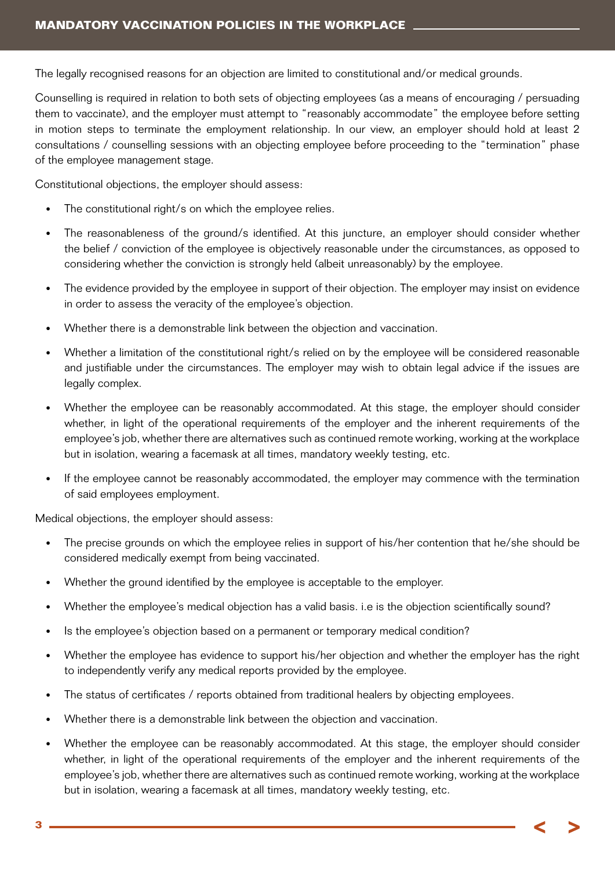The legally recognised reasons for an objection are limited to constitutional and/or medical grounds.

Counselling is required in relation to both sets of objecting employees (as a means of encouraging / persuading them to vaccinate), and the employer must attempt to "reasonably accommodate" the employee before setting in motion steps to terminate the employment relationship. In our view, an employer should hold at least 2 consultations / counselling sessions with an objecting employee before proceeding to the "termination" phase of the employee management stage.

Constitutional objections, the employer should assess:

- The constitutional right/s on which the employee relies.
- The reasonableness of the ground/s identified. At this juncture, an employer should consider whether the belief / conviction of the employee is objectively reasonable under the circumstances, as opposed to considering whether the conviction is strongly held (albeit unreasonably) by the employee.
- The evidence provided by the employee in support of their objection. The employer may insist on evidence in order to assess the veracity of the employee's objection.
- Whether there is a demonstrable link between the objection and vaccination.
- Whether a limitation of the constitutional right/s relied on by the employee will be considered reasonable and justifiable under the circumstances. The employer may wish to obtain legal advice if the issues are legally complex.
- Whether the employee can be reasonably accommodated. At this stage, the employer should consider whether, in light of the operational requirements of the employer and the inherent requirements of the employee's job, whether there are alternatives such as continued remote working, working at the workplace but in isolation, wearing a facemask at all times, mandatory weekly testing, etc.
- If the employee cannot be reasonably accommodated, the employer may commence with the termination of said employees employment.

Medical objections, the employer should assess:

- The precise grounds on which the employee relies in support of his/her contention that he/she should be considered medically exempt from being vaccinated.
- Whether the ground identified by the employee is acceptable to the employer.
- Whether the employee's medical objection has a valid basis. i.e is the objection scientifically sound?
- Is the employee's objection based on a permanent or temporary medical condition?
- Whether the employee has evidence to support his/her objection and whether the employer has the right to independently verify any medical reports provided by the employee.
- The status of certificates / reports obtained from traditional healers by objecting employees.
- Whether there is a demonstrable link between the objection and vaccination.
- Whether the employee can be reasonably accommodated. At this stage, the employer should consider whether, in light of the operational requirements of the employer and the inherent requirements of the employee's job, whether there are alternatives such as continued remote working, working at the workplace but in isolation, wearing a facemask at all times, mandatory weekly testing, etc.

**3**